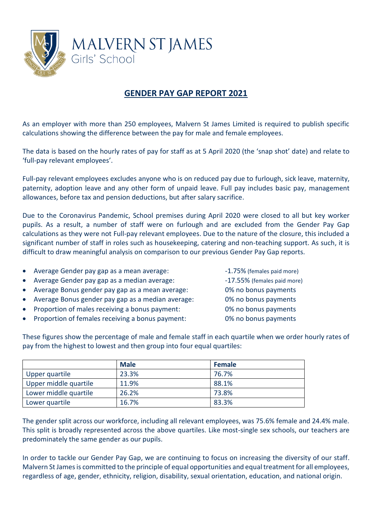

## **GENDER PAY GAP REPORT 2021**

As an employer with more than 250 employees, Malvern St James Limited is required to publish specific calculations showing the difference between the pay for male and female employees.

The data is based on the hourly rates of pay for staff as at 5 April 2020 (the 'snap shot' date) and relate to 'full-pay relevant employees'.

Full-pay relevant employees excludes anyone who is on reduced pay due to furlough, sick leave, maternity, paternity, adoption leave and any other form of unpaid leave. Full pay includes basic pay, management allowances, before tax and pension deductions, but after salary sacrifice.

Due to the Coronavirus Pandemic, School premises during April 2020 were closed to all but key worker pupils. As a result, a number of staff were on furlough and are excluded from the Gender Pay Gap calculations as they were not Full-pay relevant employees. Due to the nature of the closure, this included a significant number of staff in roles such as housekeeping, catering and non-teaching support. As such, it is difficult to draw meaningful analysis on comparison to our previous Gender Pay Gap reports.

- Average Gender pay gap as a mean average:  $-1.75%$  (females paid more)
- Average Gender pay gap as a median average:  $17.55\%$  (females paid more)
- Average Bonus gender pay gap as a mean average: 0% no bonus payments
- Average Bonus gender pay gap as a median average: 0% no bonus payments
- Proportion of males receiving a bonus payment: 0% no bonus payments
- Proportion of females receiving a bonus payment: 0% no bonus payments
- 

These figures show the percentage of male and female staff in each quartile when we order hourly rates of pay from the highest to lowest and then group into four equal quartiles:

|                       | <b>Male</b> | <b>Female</b> |
|-----------------------|-------------|---------------|
| Upper quartile        | 23.3%       | 76.7%         |
| Upper middle quartile | 11.9%       | 88.1%         |
| Lower middle quartile | 26.2%       | 73.8%         |
| Lower quartile        | 16.7%       | 83.3%         |

The gender split across our workforce, including all relevant employees, was 75.6% female and 24.4% male. This split is broadly represented across the above quartiles. Like most-single sex schools, our teachers are predominately the same gender as our pupils.

In order to tackle our Gender Pay Gap, we are continuing to focus on increasing the diversity of our staff. Malvern St Jamesis committed to the principle of equal opportunities and equal treatment for all employees, regardless of age, gender, ethnicity, religion, disability, sexual orientation, education, and national origin.